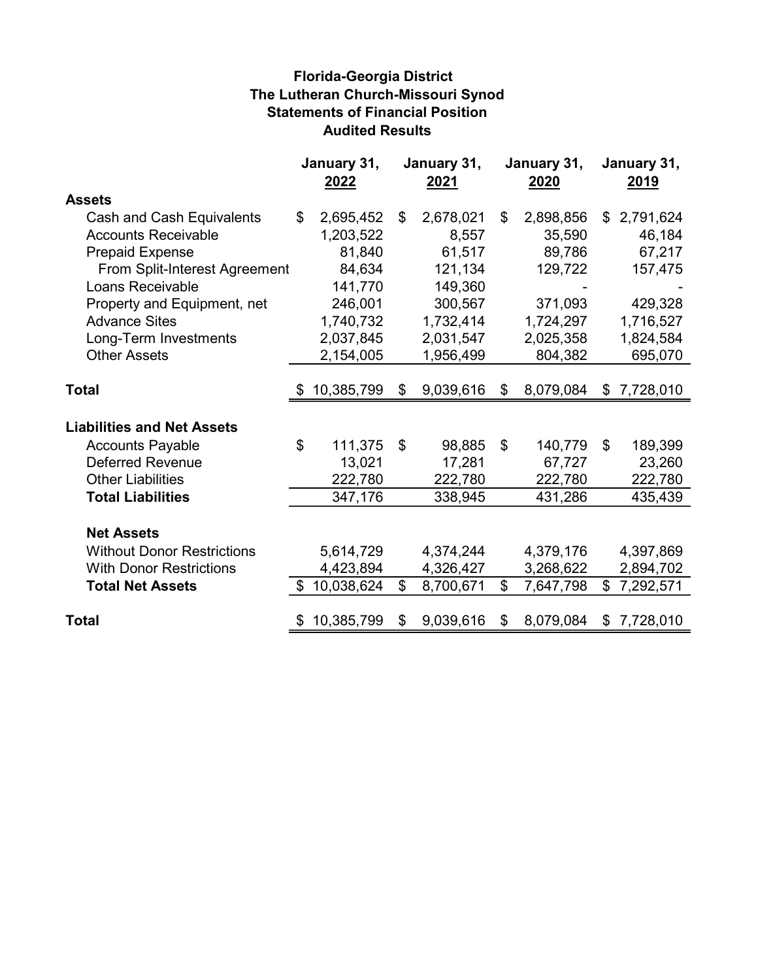## Florida-Georgia District The Lutheran Church-Missouri Synod Statements of Financial Position Audited Results

|                                   | January 31,<br>2022 |            | January 31,<br>2021 |           |                | January 31,<br>2020 | January 31,<br>2019 |
|-----------------------------------|---------------------|------------|---------------------|-----------|----------------|---------------------|---------------------|
| <b>Assets</b>                     |                     |            |                     |           |                |                     |                     |
| Cash and Cash Equivalents         | \$                  | 2,695,452  | \$                  | 2,678,021 | \$             | 2,898,856           | \$<br>2,791,624     |
| <b>Accounts Receivable</b>        |                     | 1,203,522  |                     | 8,557     |                | 35,590              | 46,184              |
| <b>Prepaid Expense</b>            |                     | 81,840     |                     | 61,517    |                | 89,786              | 67,217              |
| From Split-Interest Agreement     |                     | 84,634     |                     | 121,134   |                | 129,722             | 157,475             |
| Loans Receivable                  |                     | 141,770    |                     | 149,360   |                |                     |                     |
| Property and Equipment, net       |                     | 246,001    |                     | 300,567   |                | 371,093             | 429,328             |
| <b>Advance Sites</b>              |                     | 1,740,732  |                     | 1,732,414 |                | 1,724,297           | 1,716,527           |
| Long-Term Investments             |                     | 2,037,845  |                     | 2,031,547 |                | 2,025,358           | 1,824,584           |
| <b>Other Assets</b>               |                     | 2,154,005  |                     | 1,956,499 |                | 804,382             | 695,070             |
|                                   |                     |            |                     |           |                |                     |                     |
| <b>Total</b>                      | \$                  | 10,385,799 | \$                  | 9,039,616 | \$             | 8,079,084           | \$<br>7,728,010     |
| <b>Liabilities and Net Assets</b> |                     |            |                     |           |                |                     |                     |
| <b>Accounts Payable</b>           | \$                  | 111,375    | \$                  | 98,885    | $\mathfrak{L}$ | 140,779             | \$<br>189,399       |
| <b>Deferred Revenue</b>           |                     | 13,021     |                     | 17,281    |                | 67,727              | 23,260              |
| <b>Other Liabilities</b>          |                     | 222,780    |                     | 222,780   |                | 222,780             | 222,780             |
| <b>Total Liabilities</b>          |                     | 347,176    |                     | 338,945   |                | 431,286             | 435,439             |
| <b>Net Assets</b>                 |                     |            |                     |           |                |                     |                     |
| <b>Without Donor Restrictions</b> |                     | 5,614,729  |                     | 4,374,244 |                | 4,379,176           | 4,397,869           |
| <b>With Donor Restrictions</b>    |                     | 4,423,894  |                     | 4,326,427 |                | 3,268,622           | 2,894,702           |
| <b>Total Net Assets</b>           | \$                  | 10,038,624 | \$                  | 8,700,671 | \$             | 7,647,798           | \$<br>7,292,571     |
| <b>Total</b>                      | \$                  | 10,385,799 | \$                  | 9,039,616 | \$             | 8,079,084           | \$<br>7,728,010     |